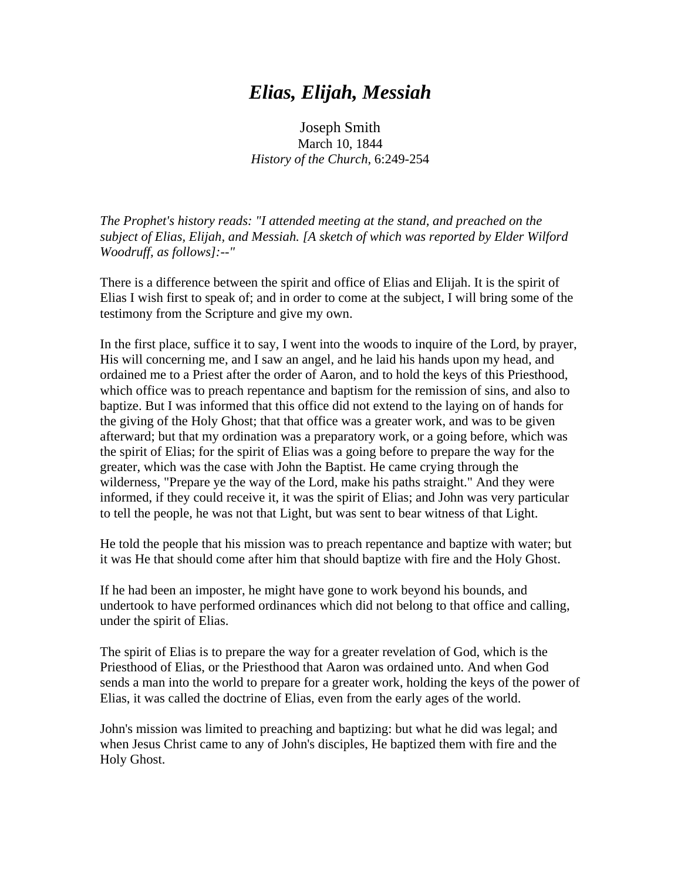## *Elias, Elijah, Messiah*

Joseph Smith March 10, 1844 *History of the Church*, 6:249-254

*The Prophet's history reads: "I attended meeting at the stand, and preached on the subject of Elias, Elijah, and Messiah. [A sketch of which was reported by Elder Wilford Woodruff, as follows]:--"*

There is a difference between the spirit and office of Elias and Elijah. It is the spirit of Elias I wish first to speak of; and in order to come at the subject, I will bring some of the testimony from the Scripture and give my own.

In the first place, suffice it to say, I went into the woods to inquire of the Lord, by prayer, His will concerning me, and I saw an angel, and he laid his hands upon my head, and ordained me to a Priest after the order of Aaron, and to hold the keys of this Priesthood, which office was to preach repentance and baptism for the remission of sins, and also to baptize. But I was informed that this office did not extend to the laying on of hands for the giving of the Holy Ghost; that that office was a greater work, and was to be given afterward; but that my ordination was a preparatory work, or a going before, which was the spirit of Elias; for the spirit of Elias was a going before to prepare the way for the greater, which was the case with John the Baptist. He came crying through the wilderness, "Prepare ye the way of the Lord, make his paths straight." And they were informed, if they could receive it, it was the spirit of Elias; and John was very particular to tell the people, he was not that Light, but was sent to bear witness of that Light.

He told the people that his mission was to preach repentance and baptize with water; but it was He that should come after him that should baptize with fire and the Holy Ghost.

If he had been an imposter, he might have gone to work beyond his bounds, and undertook to have performed ordinances which did not belong to that office and calling, under the spirit of Elias.

The spirit of Elias is to prepare the way for a greater revelation of God, which is the Priesthood of Elias, or the Priesthood that Aaron was ordained unto. And when God sends a man into the world to prepare for a greater work, holding the keys of the power of Elias, it was called the doctrine of Elias, even from the early ages of the world.

John's mission was limited to preaching and baptizing: but what he did was legal; and when Jesus Christ came to any of John's disciples, He baptized them with fire and the Holy Ghost.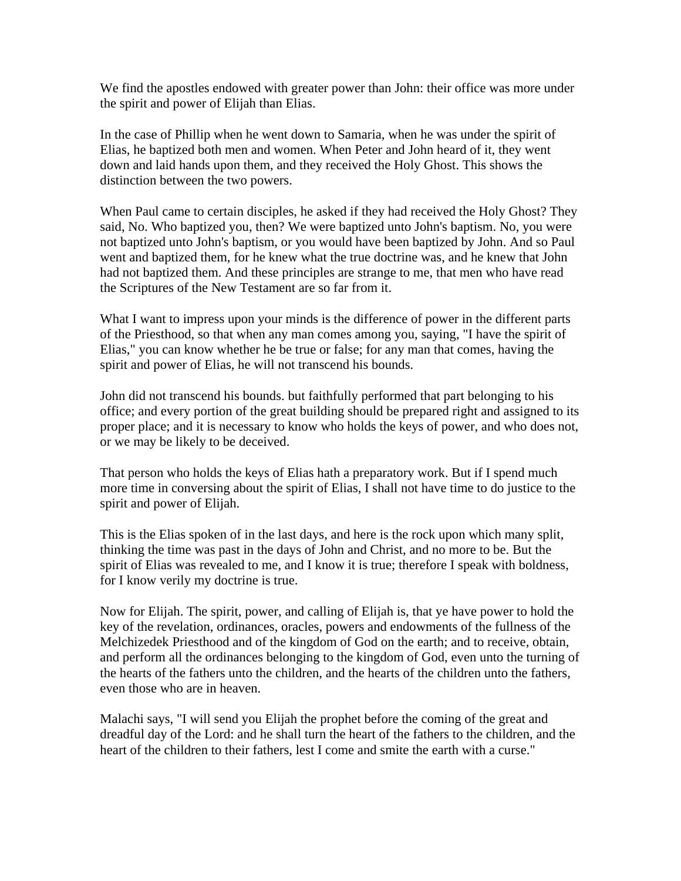We find the apostles endowed with greater power than John: their office was more under the spirit and power of Elijah than Elias.

In the case of Phillip when he went down to Samaria, when he was under the spirit of Elias, he baptized both men and women. When Peter and John heard of it, they went down and laid hands upon them, and they received the Holy Ghost. This shows the distinction between the two powers.

When Paul came to certain disciples, he asked if they had received the Holy Ghost? They said, No. Who baptized you, then? We were baptized unto John's baptism. No, you were not baptized unto John's baptism, or you would have been baptized by John. And so Paul went and baptized them, for he knew what the true doctrine was, and he knew that John had not baptized them. And these principles are strange to me, that men who have read the Scriptures of the New Testament are so far from it.

What I want to impress upon your minds is the difference of power in the different parts of the Priesthood, so that when any man comes among you, saying, "I have the spirit of Elias," you can know whether he be true or false; for any man that comes, having the spirit and power of Elias, he will not transcend his bounds.

John did not transcend his bounds. but faithfully performed that part belonging to his office; and every portion of the great building should be prepared right and assigned to its proper place; and it is necessary to know who holds the keys of power, and who does not, or we may be likely to be deceived.

That person who holds the keys of Elias hath a preparatory work. But if I spend much more time in conversing about the spirit of Elias, I shall not have time to do justice to the spirit and power of Elijah.

This is the Elias spoken of in the last days, and here is the rock upon which many split, thinking the time was past in the days of John and Christ, and no more to be. But the spirit of Elias was revealed to me, and I know it is true; therefore I speak with boldness, for I know verily my doctrine is true.

Now for Elijah. The spirit, power, and calling of Elijah is, that ye have power to hold the key of the revelation, ordinances, oracles, powers and endowments of the fullness of the Melchizedek Priesthood and of the kingdom of God on the earth; and to receive, obtain, and perform all the ordinances belonging to the kingdom of God, even unto the turning of the hearts of the fathers unto the children, and the hearts of the children unto the fathers, even those who are in heaven.

Malachi says, "I will send you Elijah the prophet before the coming of the great and dreadful day of the Lord: and he shall turn the heart of the fathers to the children, and the heart of the children to their fathers, lest I come and smite the earth with a curse."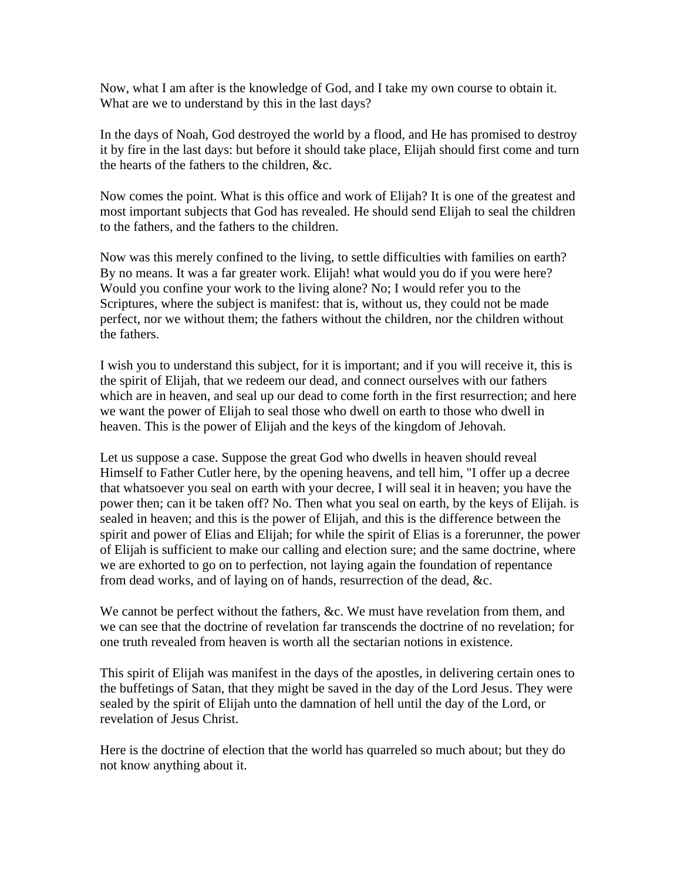Now, what I am after is the knowledge of God, and I take my own course to obtain it. What are we to understand by this in the last days?

In the days of Noah, God destroyed the world by a flood, and He has promised to destroy it by fire in the last days: but before it should take place, Elijah should first come and turn the hearts of the fathers to the children, &c.

Now comes the point. What is this office and work of Elijah? It is one of the greatest and most important subjects that God has revealed. He should send Elijah to seal the children to the fathers, and the fathers to the children.

Now was this merely confined to the living, to settle difficulties with families on earth? By no means. It was a far greater work. Elijah! what would you do if you were here? Would you confine your work to the living alone? No; I would refer you to the Scriptures, where the subject is manifest: that is, without us, they could not be made perfect, nor we without them; the fathers without the children, nor the children without the fathers.

I wish you to understand this subject, for it is important; and if you will receive it, this is the spirit of Elijah, that we redeem our dead, and connect ourselves with our fathers which are in heaven, and seal up our dead to come forth in the first resurrection; and here we want the power of Elijah to seal those who dwell on earth to those who dwell in heaven. This is the power of Elijah and the keys of the kingdom of Jehovah.

Let us suppose a case. Suppose the great God who dwells in heaven should reveal Himself to Father Cutler here, by the opening heavens, and tell him, "I offer up a decree that whatsoever you seal on earth with your decree, I will seal it in heaven; you have the power then; can it be taken off? No. Then what you seal on earth, by the keys of Elijah. is sealed in heaven; and this is the power of Elijah, and this is the difference between the spirit and power of Elias and Elijah; for while the spirit of Elias is a forerunner, the power of Elijah is sufficient to make our calling and election sure; and the same doctrine, where we are exhorted to go on to perfection, not laying again the foundation of repentance from dead works, and of laying on of hands, resurrection of the dead, &c.

We cannot be perfect without the fathers, &c. We must have revelation from them, and we can see that the doctrine of revelation far transcends the doctrine of no revelation; for one truth revealed from heaven is worth all the sectarian notions in existence.

This spirit of Elijah was manifest in the days of the apostles, in delivering certain ones to the buffetings of Satan, that they might be saved in the day of the Lord Jesus. They were sealed by the spirit of Elijah unto the damnation of hell until the day of the Lord, or revelation of Jesus Christ.

Here is the doctrine of election that the world has quarreled so much about; but they do not know anything about it.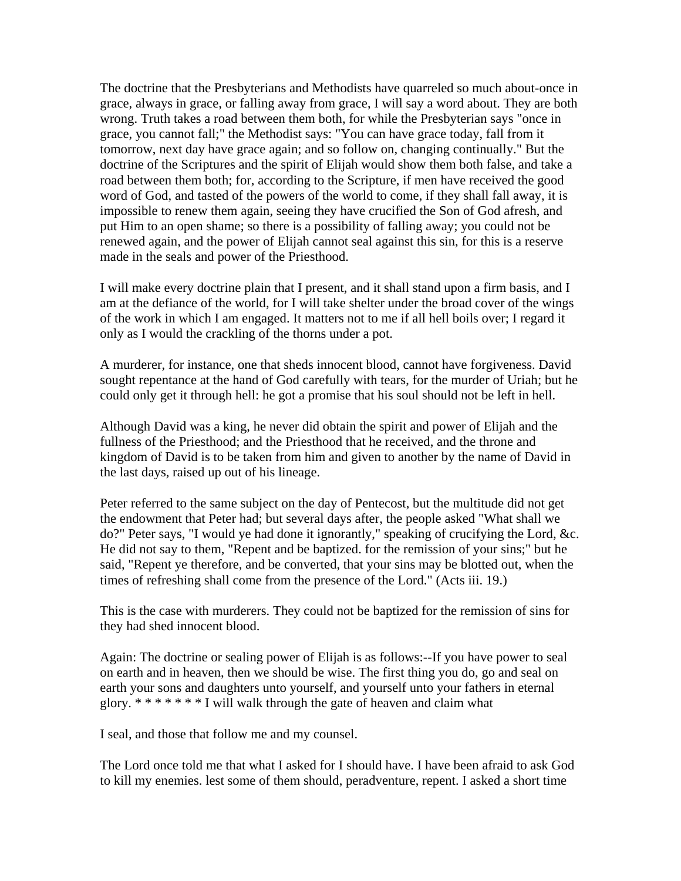The doctrine that the Presbyterians and Methodists have quarreled so much about-once in grace, always in grace, or falling away from grace, I will say a word about. They are both wrong. Truth takes a road between them both, for while the Presbyterian says "once in grace, you cannot fall;" the Methodist says: "You can have grace today, fall from it tomorrow, next day have grace again; and so follow on, changing continually." But the doctrine of the Scriptures and the spirit of Elijah would show them both false, and take a road between them both; for, according to the Scripture, if men have received the good word of God, and tasted of the powers of the world to come, if they shall fall away, it is impossible to renew them again, seeing they have crucified the Son of God afresh, and put Him to an open shame; so there is a possibility of falling away; you could not be renewed again, and the power of Elijah cannot seal against this sin, for this is a reserve made in the seals and power of the Priesthood.

I will make every doctrine plain that I present, and it shall stand upon a firm basis, and I am at the defiance of the world, for I will take shelter under the broad cover of the wings of the work in which I am engaged. It matters not to me if all hell boils over; I regard it only as I would the crackling of the thorns under a pot.

A murderer, for instance, one that sheds innocent blood, cannot have forgiveness. David sought repentance at the hand of God carefully with tears, for the murder of Uriah; but he could only get it through hell: he got a promise that his soul should not be left in hell.

Although David was a king, he never did obtain the spirit and power of Elijah and the fullness of the Priesthood; and the Priesthood that he received, and the throne and kingdom of David is to be taken from him and given to another by the name of David in the last days, raised up out of his lineage.

Peter referred to the same subject on the day of Pentecost, but the multitude did not get the endowment that Peter had; but several days after, the people asked "What shall we do?" Peter says, "I would ye had done it ignorantly," speaking of crucifying the Lord, &c. He did not say to them, "Repent and be baptized. for the remission of your sins;" but he said, "Repent ye therefore, and be converted, that your sins may be blotted out, when the times of refreshing shall come from the presence of the Lord." (Acts iii. 19.)

This is the case with murderers. They could not be baptized for the remission of sins for they had shed innocent blood.

Again: The doctrine or sealing power of Elijah is as follows:--If you have power to seal on earth and in heaven, then we should be wise. The first thing you do, go and seal on earth your sons and daughters unto yourself, and yourself unto your fathers in eternal glory. \* \* \* \* \* \* \* I will walk through the gate of heaven and claim what

I seal, and those that follow me and my counsel.

The Lord once told me that what I asked for I should have. I have been afraid to ask God to kill my enemies. lest some of them should, peradventure, repent. I asked a short time